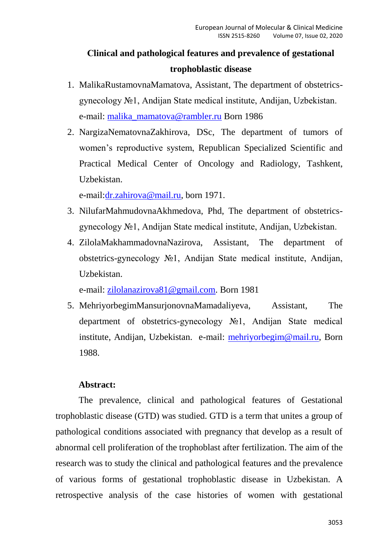# **Сlinical and pathological features and prevalence of gestational trophoblastic disease**

- 1. MalikaRustamovnaMamatova, Assistant, The department of obstetricsgynecology №1, Andijan State medical institute, Andijan, Uzbekistan. e-mail: [malika\\_mamatova@rambler.ru](mailto:malika_mamatova@rambler.ru) Born 1986
- 2. NargizaNematovnaZakhirova, DSc, The department of tumors of women's reproductive system, Republican Specialized Scientific and Practical Medical Center of Oncology and Radiology, Tashkent, Uzbekistan.

e-mail[:dr.zahirova@mail.ru,](mailto:dr.zahirova@mail.ru) born 1971.

- 3. NilufarMahmudovnaAkhmedova, Phd, The department of obstetricsgynecology №1, Andijan State medical institute, Andijan, Uzbekistan.
- 4. ZilolaMakhammadovnaNazirova, Assistant, The department of obstetrics-gynecology №1, Andijan State medical institute, Andijan, Uzbekistan.

e-mail: [zilolanazirova81@gmail.com.](mailto:zilolanazirova81@gmail.com) Born 1981

5. MehriyorbegimMansurjonovnaMamadaliyeva, Assistant, The department of obstetrics-gynecology №1, Andijan State medical institute, Andijan, Uzbekistan. e-mail: [mehriyorbegim@mail.ru,](mailto:mehriyorbegim@mail.ru) Born 1988.

## **Abstract:**

The prevalence, clinical and pathological features of Gestational trophoblastic disease (GTD) was studied. GTD is a term that unites a group of pathological conditions associated with pregnancy that develop as a result of abnormal cell proliferation of the trophoblast after fertilization. The aim of the research was to study the clinical and pathological features and the prevalence of various forms of gestational trophoblastic disease in Uzbekistan. A retrospective analysis of the case histories of women with gestational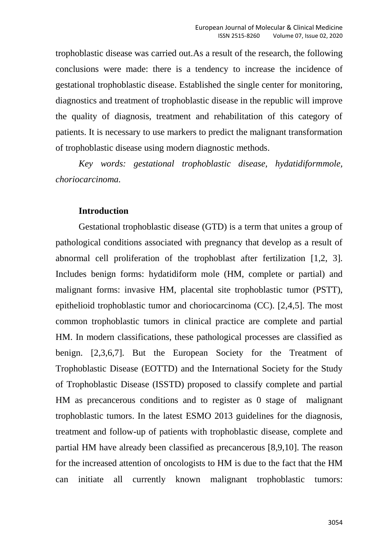trophoblastic disease was carried out.As a result of the research, the following conclusions were made: there is a tendency to increase the incidence of gestational trophoblastic disease. Established the single center for monitoring, diagnostics and treatment of trophoblastic disease in the republic will improve the quality of diagnosis, treatment and rehabilitation of this category of patients. It is necessary to use markers to predict the malignant transformation of trophoblastic disease using modern diagnostic methods.

*Key words: gestational trophoblastic disease, hydatidiformmole, choriocarcinoma.*

## **Introduction**

Gestational trophoblastic disease (GTD) is a term that unites a group of pathological conditions associated with pregnancy that develop as a result of abnormal cell proliferation of the trophoblast after fertilization [1,2, 3]. Includes benign forms: hydatidiform mole (HM, complete or partial) and malignant forms: invasive HM, placental site trophoblastic tumor (PSTT), epithelioid trophoblastic tumor and choriocarcinoma (CC). [2,4,5]. The most common trophoblastic tumors in clinical practice are complete and partial HM. In modern classifications, these pathological processes are classified as benign. [2,3,6,7]. But the European Society for the Treatment of Trophoblastic Disease (EOTTD) and the International Society for the Study of Trophoblastic Disease (ISSTD) proposed to classify complete and partial HM as precancerous conditions and to register as 0 stage of malignant trophoblastic tumors. In the latest ESMO 2013 guidelines for the diagnosis, treatment and follow-up of patients with trophoblastic disease, complete and partial HM have already been classified as precancerous [8,9,10]. The reason for the increased attention of oncologists to HM is due to the fact that the HM can initiate all currently known malignant trophoblastic tumors: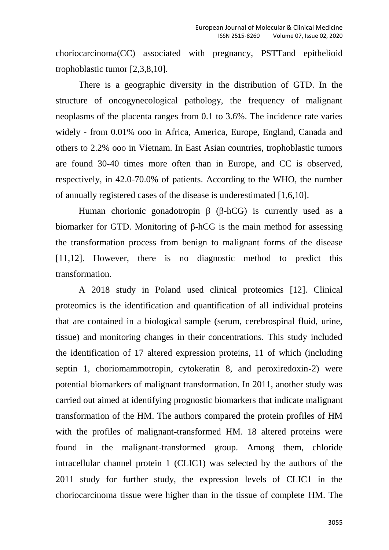choriocarcinoma(CC) associated with pregnancy, PSTTand epithelioid trophoblastic tumor [2,3,8,10].

There is a geographic diversity in the distribution of GTD. In the structure of oncogynecological pathology, the frequency of malignant neoplasms of the placenta ranges from 0.1 to 3.6%. The incidence rate varies widely - from 0.01% ooo in Africa, America, Europe, England, Canada and others to 2.2% ooo in Vietnam. In East Asian countries, trophoblastic tumors are found 30-40 times more often than in Europe, and CC is observed, respectively, in 42.0-70.0% of patients. According to the WHO, the number of annually registered cases of the disease is underestimated [1,6,10].

Human chorionic gonadotropin β (β-hCG) is currently used as a biomarker for GTD. Monitoring of β-hCG is the main method for assessing the transformation process from benign to malignant forms of the disease [11,12]. However, there is no diagnostic method to predict this transformation.

A 2018 study in Poland used clinical proteomics [12]. Clinical proteomics is the identification and quantification of all individual proteins that are contained in a biological sample (serum, cerebrospinal fluid, urine, tissue) and monitoring changes in their concentrations. This study included the identification of 17 altered expression proteins, 11 of which (including septin 1, choriomammotropin, cytokeratin 8, and peroxiredoxin-2) were potential biomarkers of malignant transformation. In 2011, another study was carried out aimed at identifying prognostic biomarkers that indicate malignant transformation of the HM. The authors compared the protein profiles of HM with the profiles of malignant-transformed HM. 18 altered proteins were found in the malignant-transformed group. Among them, chloride intracellular channel protein 1 (CLIC1) was selected by the authors of the 2011 study for further study, the expression levels of CLIC1 in the choriocarcinoma tissue were higher than in the tissue of complete HM. The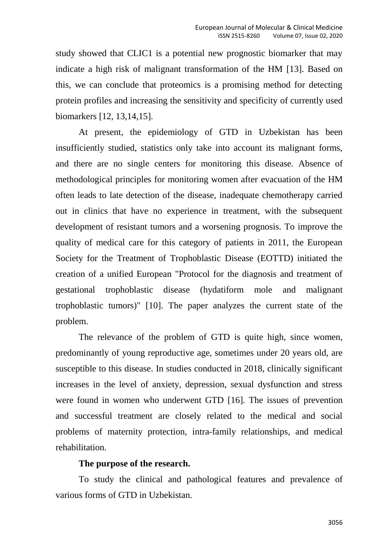study showed that CLIC1 is a potential new prognostic biomarker that may indicate a high risk of malignant transformation of the HM [13]. Based on this, we can conclude that proteomics is a promising method for detecting protein profiles and increasing the sensitivity and specificity of currently used biomarkers [12, 13,14,15].

At present, the epidemiology of GTD in Uzbekistan has been insufficiently studied, statistics only take into account its malignant forms, and there are no single centers for monitoring this disease. Absence of methodological principles for monitoring women after evacuation of the HM often leads to late detection of the disease, inadequate chemotherapy carried out in clinics that have no experience in treatment, with the subsequent development of resistant tumors and a worsening prognosis. To improve the quality of medical care for this category of patients in 2011, the European Society for the Treatment of Trophoblastic Disease (EOTTD) initiated the creation of a unified European "Protocol for the diagnosis and treatment of gestational trophoblastic disease (hydatiform mole and malignant trophoblastic tumors)" [10]. The paper analyzes the current state of the problem.

The relevance of the problem of GTD is quite high, since women, predominantly of young reproductive age, sometimes under 20 years old, are susceptible to this disease. In studies conducted in 2018, clinically significant increases in the level of anxiety, depression, sexual dysfunction and stress were found in women who underwent GTD [16]. The issues of prevention and successful treatment are closely related to the medical and social problems of maternity protection, intra-family relationships, and medical rehabilitation.

#### **The purpose of the research.**

To study the clinical and pathological features and prevalence of various forms of GTD in Uzbekistan.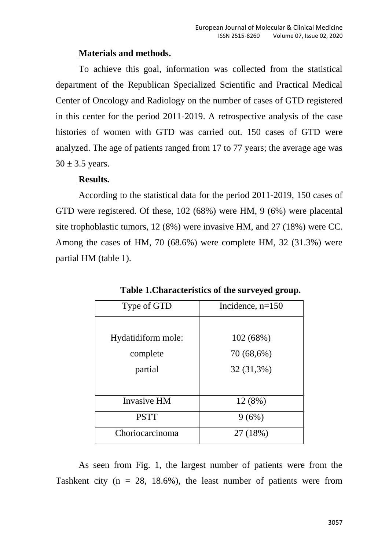## **Materials and methods.**

To achieve this goal, information was collected from the statistical department of the Republican Specialized Scientific and Practical Medical Center of Oncology and Radiology on the number of cases of GTD registered in this center for the period 2011-2019. A retrospective analysis of the case histories of women with GTD was carried out. 150 cases of GTD were analyzed. The age of patients ranged from 17 to 77 years; the average age was  $30 \pm 3.5$  years.

# **Results.**

According to the statistical data for the period 2011-2019, 150 cases of GTD were registered. Of these, 102 (68%) were HM, 9 (6%) were placental site trophoblastic tumors, 12 (8%) were invasive HM, and 27 (18%) were CC. Among the cases of HM, 70 (68.6%) were complete HM, 32 (31.3%) were partial HM (table 1).

| Type of GTD        | Incidence, $n=150$ |
|--------------------|--------------------|
|                    |                    |
| Hydatidiform mole: | 102(68%)           |
| complete           | $70(68,6\%)$       |
| partial            | 32 (31,3%)         |
|                    |                    |
| <b>Invasive HM</b> | 12 (8%)            |
| <b>PSTT</b>        | 9(6%)              |
| Choriocarcinoma    | 27 (18%)           |

**Table 1.Characteristics of the surveyed group.**

As seen from Fig. 1, the largest number of patients were from the Tashkent city ( $n = 28$ , 18.6%), the least number of patients were from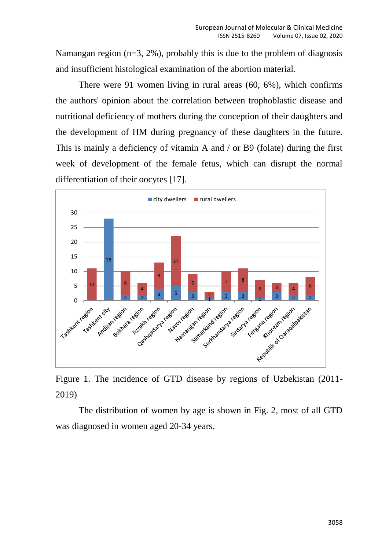Namangan region  $(n=3, 2\%)$ , probably this is due to the problem of diagnosis and insufficient histological examination of the abortion material.

There were 91 women living in rural areas (60, 6%), which confirms the authors' opinion about the correlation between trophoblastic disease and nutritional deficiency of mothers during the conception of their daughters and the development of HM during pregnancy of these daughters in the future. This is mainly a deficiency of vitamin A and / or B9 (folate) during the first week of development of the female fetus, which can disrupt the normal differentiation of their oocytes [17].



Figure 1. The incidence of GTD disease by regions of Uzbekistan (2011- 2019)

The distribution of women by age is shown in Fig. 2, most of all GTD was diagnosed in women aged 20-34 years.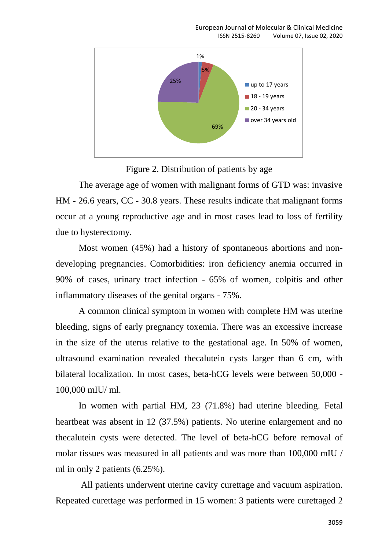

Figure 2. Distribution of patients by age

The average age of women with malignant forms of GTD was: invasive HM - 26.6 years, CC - 30.8 years. These results indicate that malignant forms occur at a young reproductive age and in most cases lead to loss of fertility due to hysterectomy.

Most women (45%) had a history of spontaneous abortions and nondeveloping pregnancies. Comorbidities: iron deficiency anemia occurred in 90% of cases, urinary tract infection - 65% of women, colpitis and other inflammatory diseases of the genital organs - 75%.

A common clinical symptom in women with complete HM was uterine bleeding, signs of early pregnancy toxemia. There was an excessive increase in the size of the uterus relative to the gestational age. In 50% of women, ultrasound examination revealed thecalutein cysts larger than 6 cm, with bilateral localization. In most cases, beta-hCG levels were between 50,000 - 100,000 mIU/ ml.

In women with partial HM, 23 (71.8%) had uterine bleeding. Fetal heartbeat was absent in 12 (37.5%) patients. No uterine enlargement and no thecalutein cysts were detected. The level of beta-hCG before removal of molar tissues was measured in all patients and was more than 100,000 mIU / ml in only 2 patients (6.25%).

All patients underwent uterine cavity curettage and vacuum aspiration. Repeated curettage was performed in 15 women: 3 patients were curettaged 2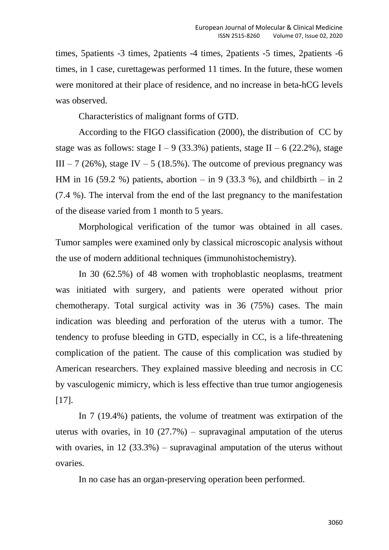times, 5patients -3 times, 2patients -4 times, 2patients -5 times, 2patients -6 times, in 1 case, curettagewas performed 11 times. In the future, these women were monitored at their place of residence, and no increase in beta-hCG levels was observed.

Characteristics of malignant forms of GTD.

According to the FIGO classification (2000), the distribution of CC by stage was as follows: stage  $I - 9$  (33.3%) patients, stage  $II - 6$  (22.2%), stage III – 7 (26%), stage IV – 5 (18.5%). The outcome of previous pregnancy was HM in 16 (59.2 %) patients, abortion – in 9 (33.3 %), and childbirth – in 2 (7.4 %). The interval from the end of the last pregnancy to the manifestation of the disease varied from 1 month to 5 years.

Morphological verification of the tumor was obtained in all cases. Tumor samples were examined only by classical microscopic analysis without the use of modern additional techniques (immunohistochemistry).

In 30 (62.5%) of 48 women with trophoblastic neoplasms, treatment was initiated with surgery, and patients were operated without prior chemotherapy. Total surgical activity was in 36 (75%) cases. The main indication was bleeding and perforation of the uterus with a tumor. The tendency to profuse bleeding in GTD, especially in CC, is a life-threatening complication of the patient. The cause of this complication was studied by American researchers. They explained massive bleeding and necrosis in CC by vasculogenic mimicry, which is less effective than true tumor angiogenesis [17].

In 7 (19.4%) patients, the volume of treatment was extirpation of the uterus with ovaries, in 10 (27.7%) – supravaginal amputation of the uterus with ovaries, in  $12$  (33.3%) – supravaginal amputation of the uterus without ovaries.

In no case has an organ-preserving operation been performed.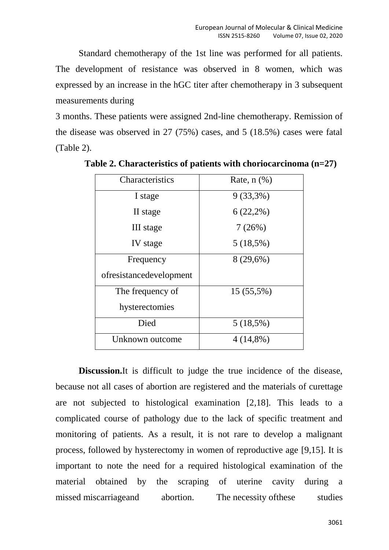Standard chemotherapy of the 1st line was performed for all patients. The development of resistance was observed in 8 women, which was expressed by an increase in the hGC titer after chemotherapy in 3 subsequent measurements during

3 months. These patients were assigned 2nd-line chemotherapy. Remission of the disease was observed in 27 (75%) cases, and 5 (18.5%) cases were fatal (Table 2).

| Characteristics         | Rate, $n$ $(\%)$ |
|-------------------------|------------------|
| I stage                 | $9(33,3\%)$      |
| II stage                | $6(22,2\%)$      |
| III stage               | 7(26%)           |
| IV stage                | $5(18,5\%)$      |
| Frequency               | $8(29,6\%)$      |
| ofresistancedevelopment |                  |
| The frequency of        | $15(55,5\%)$     |
| hysterectomies          |                  |
| Died                    | $5(18,5\%)$      |
| Unknown outcome         | $4(14,8\%)$      |

**Table 2. Characteristics of patients with choriocarcinoma (n=27)**

**Discussion.**It is difficult to judge the true incidence of the disease, because not all cases of abortion are registered and the materials of curettage are not subjected to histological examination [2,18]. This leads to a complicated course of pathology due to the lack of specific treatment and monitoring of patients. As a result, it is not rare to develop a malignant process, followed by hysterectomy in women of reproductive age [9,15]. It is important to note the need for a required histological examination of the material obtained by the scraping of uterine cavity during a missed [miscarriagea](https://translate.academic.ru/missed%20miscarriage/ru/en/)nd abortion. The [necessity](https://translate.academic.ru/The%20necessity%20of/ru/en/) of these studies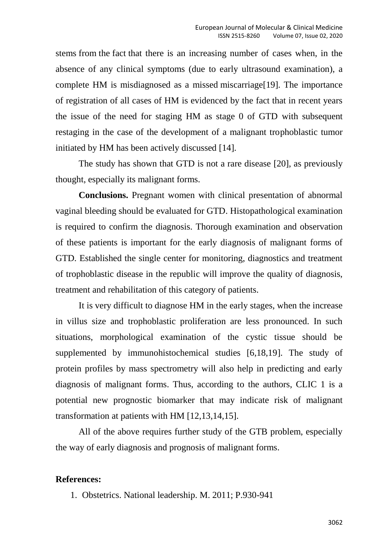[stems](https://translate.academic.ru/stems%20from%20the%20fact%20that/ru/en/) from the fact that there is an increasing number of cases when, in the absence of any clinical symptoms (due to early ultrasound examination), a complete HM is misdiagnosed as a missed [miscarriage\[](https://translate.academic.ru/missed%20miscarriage/ru/en/)19]. The importance of registration of all cases of HM is evidenced by the fact that in recent years the issue of the need for staging HM as stage 0 of GTD with subsequent restaging in the case of the development of a malignant trophoblastic tumor initiated by HM has been actively discussed [14].

The study has shown that GTD is not a rare disease [20], as previously thought, especially its malignant forms.

**Conclusions.** Pregnant women with clinical presentation of abnormal vaginal bleeding should be evaluated for GTD. Histopathological examination is required to confirm the diagnosis. Thorough examination and observation of these patients is important for the early diagnosis of malignant forms of GTD. Established the single center for monitoring, diagnostics and treatment of trophoblastic disease in the republic will improve the quality of diagnosis, treatment and rehabilitation of this category of patients.

It is very difficult to diagnose HM in the early stages, when the increase in villus size and trophoblastic proliferation are less pronounced. In such situations, morphological examination of the cystic tissue should be supplemented by immunohistochemical studies [6,18,19]. The study of protein profiles by mass spectrometry will also help in predicting and early diagnosis of malignant forms. Thus, according to the authors, CLIC 1 is a potential new prognostic biomarker that may indicate risk of malignant transformation at patients with HM [12,13,14,15].

All of the above requires further study of the GTB problem, especially the way of early diagnosis and prognosis of malignant forms.

### **References:**

1. Obstetrics. National leadership. M. 2011; P.930-941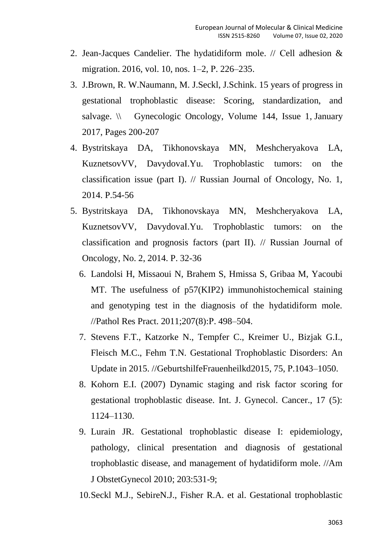- 2. Jean-Jacques Candelier. The hydatidiform mole. // Сell adhesion & migration. 2016, vol. 10, nos. 1–2, P. 226–235.
- 3. J.Brown, R. W.Naumann, M. J.Seckl, J.Schink. 15 years of progress in gestational trophoblastic disease: Scoring, standardization, and salvage.  $\setminus \$  [Gynecologic Oncology,](https://www.sciencedirect.com/science/journal/00908258) [Volume 144, Issue 1,](https://www.sciencedirect.com/science/journal/00908258/144/1) January 2017, Pages 200-207
- 4. Bystritskaya DA, Tikhonovskaya MN, Meshcheryakova LA, KuznetsovVV, DavydovaI.Yu. Trophoblastic tumors: on the classification issue (part I). // Russian Journal of Oncology, No. 1, 2014. P.54-56
- 5. Bystritskaya DA, Tikhonovskaya MN, Meshcheryakova LA, KuznetsovVV, DavydovaI.Yu. Trophoblastic tumors: on the classification and prognosis factors (part II). // Russian Journal of Oncology, No. 2, 2014. P. 32-36
	- 6. Landolsi H, Missaoui N, Brahem S, Hmissa S, Gribaa M, Yacoubi MT. The usefulness of p57(KIP2) immunohistochemical staining and genotyping test in the diagnosis of the hydatidiform mole. //Pathol Res Pract. 2011;207(8):Р. 498–504.
	- 7. Stevens F.T., Katzorke N., Tempfer C., Kreimer U., Bizjak G.I., Fleisch M.C., Fehm T.N. Gestational Trophoblastic Disorders: An Update in 2015. //GeburtshilfeFrauenheilkd2015, 75, Р.1043–1050.
	- 8. Kohorn E.I. (2007) Dynamic staging and risk factor scoring for gestational trophoblastic disease. Int. J. Gynecol. Cancer., 17 (5): 1124–1130.
	- 9. Lurain JR. Gestational trophoblastic disease I: epidemiology, pathology, clinical presentation and diagnosis of gestational trophoblastic disease, and management of hydatidiform mole. //Am J ObstetGynecol 2010; 203:531-9;

10.Seckl M.J., SebireN.J., Fisher R.A. et al. Gestational trophoblastic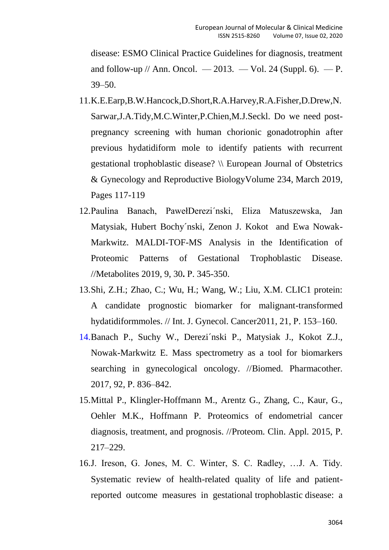disease: ESMO Clinical Practice Guidelines for diagnosis, treatment and follow-up  $//$  Ann. Oncol.  $-2013. -Vol. 24$  (Suppl. 6).  $- P.$ 39–50.

- 11[.K.E.Earp,B.W.Hancock,D.Short,R.A.Harvey,R.A.Fisher,D.Drew,N.](https://www.sciencedirect.com/science/article/abs/pii/S0301211519300053#!) [Sarwar,J.A.Tidy,M.C.Winter,P.Chien,M.J.Seckl.](https://www.sciencedirect.com/science/article/abs/pii/S0301211519300053#!) Do we need postpregnancy screening with human chorionic gonadotrophin after previous hydatidiform mole to identify patients with recurrent gestational trophoblastic disease? \\ [European Journal of Obstetrics](https://www.sciencedirect.com/science/journal/03012115)  [& Gynecology and Reproductive Biology](https://www.sciencedirect.com/science/journal/03012115)[Volume 234,](https://www.sciencedirect.com/science/journal/03012115/234/supp/C) March 2019, Pages 117-119
- 12.Paulina Banach, PawełDerezi´nski, Eliza Matuszewska, Jan Matysiak, Hubert Bochy´nski, Zenon J. Kokot and Ewa Nowak-Markwitz. MALDI-TOF-MS Analysis in the Identification of Proteomic Patterns of Gestational Trophoblastic Disease. //Metabolites 2019, 9, 30**.** Р. 345-350.
- 13.Shi, Z.H.; Zhao, C.; Wu, H.; Wang, W.; Liu, X.M. CLIC1 protein: A candidate prognostic biomarker for malignant-transformed hydatidiformmoles. // Int. J. Gynecol. Cancer2011, 21, Р. 153–160.
- 14.Banach P., Suchy W., Derezi´nski P., Matysiak J., Kokot Z.J., Nowak-Markwitz E. Mass spectrometry as a tool for biomarkers searching in gynecological oncology. //Biomed. Pharmacother*.*  2017, 92, Р. 836–842.
- 15.Mittal P., Klingler-Hoffmann M., Arentz G., Zhang, C., Kaur, G., Oehler M.K., Hoffmann P. Proteomics of endometrial cancer diagnosis, treatment, and prognosis. //Proteom. Clin. Appl*.* 2015, Р. 217–229.
- 16.J. Ireson, G. Jones, M. C. Winter, S. C. Radley, …J. A. Tidy. [Systematic review of health-related quality of life and patient](https://www.sciencedirect.com/science/article/pii/S1470204517306861)[reported outcome measures in gestational](https://www.sciencedirect.com/science/article/pii/S1470204517306861) trophoblastic disease: a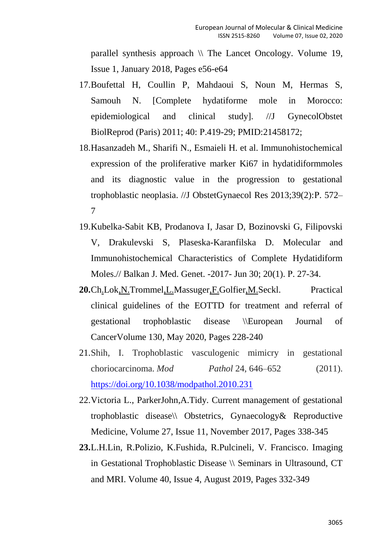[parallel synthesis approach](https://www.sciencedirect.com/science/article/pii/S1470204517306861)  $\setminus \setminus$  [The Lancet Oncology.](https://www.sciencedirect.com/science/journal/14702045) Volume 19, [Issue 1,](https://www.sciencedirect.com/science/journal/14702045/19/1) January 2018, Pages e56-e64

- 17.Boufettal H, Coullin P, Mahdaoui S, Noun M, Hermas S, Samouh N. [Complete hydatiforme mole in Morocco: epidemiological and clinical study]. //J GynecolObstet BiolReprod (Paris) 2011; 40: Р.419-29; PMID:21458172;
- 18.Hasanzadeh M., Sharifi N., Esmaieli H. et al. Immunohistochemical expression of the proliferative marker Ki67 in hydatidiformmoles and its diagnostic value in the progression to gestational trophoblastic neoplasia. //J ObstetGynaecol Res 2013;39(2):Р. 572– 7
- 19.Kubelka-Sabit KB, Prodanova I, Jasar D, Bozinovski G, Filipovski V, Drakulevski S, Plaseska-Karanfilska D. Molecular and Immunohistochemical Characteristics of Complete Hydatidiform Moles.// Balkan J. Med. Genet. -2017- Jun 30; 20(1). Р. 27-34.
- **20.**[Ch.Lok,N.Trommel,L.Massuger,F.Golfier,M.Seckl.](https://www.sciencedirect.com/science/article/abs/pii/S0959804920300629#!) Practical clinical guidelines of the EOTTD for treatment and referral of gestational trophoblastic disease \[\European Journal of](https://www.sciencedirect.com/science/journal/09598049)  [Cancer](https://www.sciencedirect.com/science/journal/09598049)[Volume 130,](https://www.sciencedirect.com/science/journal/09598049/130/supp/C) May 2020, Pages 228-240
- 21.Shih, I. Trophoblastic vasculogenic mimicry in gestational choriocarcinoma. *Mod Pathol* 24, 646–652 (2011). <https://doi.org/10.1038/modpathol.2010.231>
- 22[.Victoria L., ParkerJohn,A.Tidy.](https://www.sciencedirect.com/science/article/pii/S1751721417301690#!) Current management of gestational trophoblastic disease\\ [Obstetrics, Gynaecology& Reproductive](https://www.sciencedirect.com/science/journal/17517214)  [Medicine,](https://www.sciencedirect.com/science/journal/17517214) [Volume 27, Issue 11,](https://www.sciencedirect.com/science/journal/17517214/27/11) November 2017, Pages 338-345
- **23.**L.H.Lin, R.Polizio, K.Fushida, R.Pulcineli, V. Francisco. Imaging in Gestational Trophoblastic Disease \\ [Seminars in Ultrasound, CT](https://www.sciencedirect.com/science/journal/08872171)  [and MRI.](https://www.sciencedirect.com/science/journal/08872171) [Volume 40, Issue 4,](https://www.sciencedirect.com/science/journal/08872171/40/4) August 2019, Pages 332-349